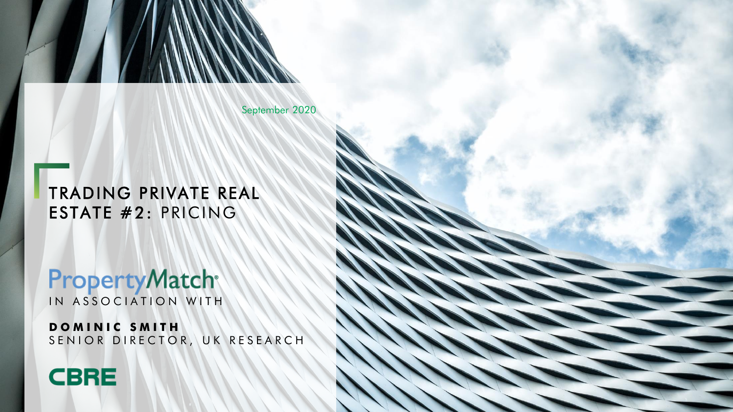September 2020

TRADING PRIVATE REAL ESTATE #2: PRICING

**PropertyMatch®** IN ASSOCIATION WITH

**D O M I N I C S M I T H** SENIOR DIRECTOR, UK RESEARCH



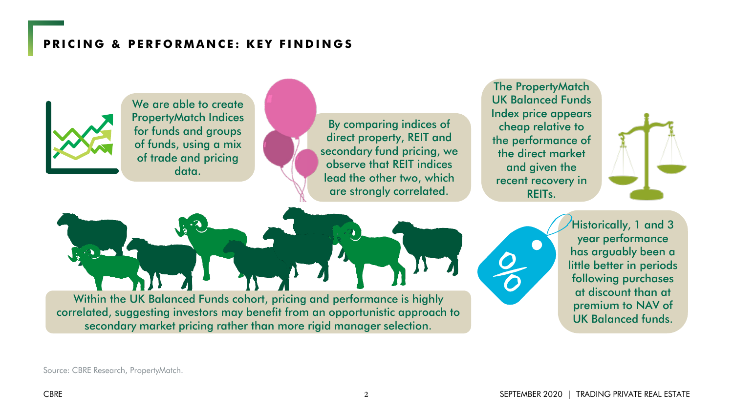### **PRICING & PERFORMANCE: KEY FINDINGS**



We are able to create PropertyMatch Indices for funds and groups of funds, using a mix of trade and pricing data.

By comparing indices of direct property, REIT and secondary fund pricing, we observe that REIT indices lead the other two, which are strongly correlated.

The PropertyMatch UK Balanced Funds Index price appears cheap relative to the performance of the direct market and given the recent recovery in REITs.



Within the UK Balanced Funds cohort, pricing and performance is highly correlated, suggesting investors may benefit from an opportunistic approach to secondary market pricing rather than more rigid manager selection.

Historically, 1 and 3 year performance has arguably been a little better in periods following purchases at discount than at premium to NAV of UK Balanced funds.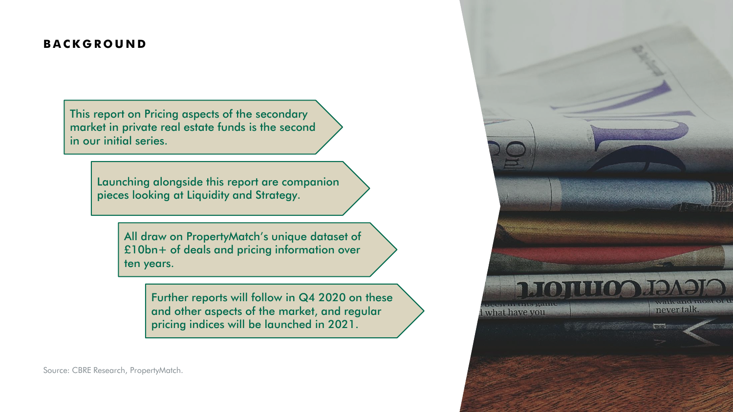#### **B A C K G R O U N D**

This report on Pricing aspects of the secondary market in private real estate funds is the second in our initial series.

> Launching alongside this report are companion pieces looking at Liquidity and Strategy.

> > All draw on PropertyMatch's unique dataset of £10bn+ of deals and pricing information over ten years.

> > > Further reports will follow in Q4 2020 on these and other aspects of the market, and regular pricing indices will be launched in 2021.

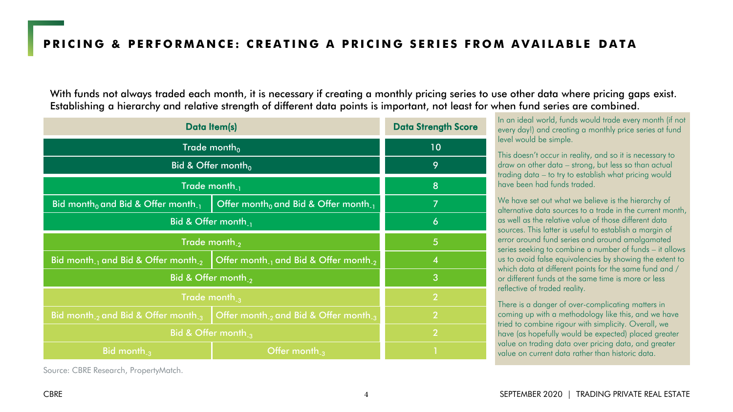With funds not always traded each month, it is necessary if creating a monthly pricing series to use other data where pricing gaps exist. Establishing a hierarchy and relative strength of different data points is important, not least for when fund series are combined.

| Data Item(s)                                                                                               | <b>Data Strength Score</b> |  |  |  |
|------------------------------------------------------------------------------------------------------------|----------------------------|--|--|--|
| Trade month <sub>0</sub>                                                                                   | 10                         |  |  |  |
| Bid & Offer month <sub>0</sub>                                                                             | 9                          |  |  |  |
| Trade month <sub>-1</sub>                                                                                  | 8                          |  |  |  |
| Bid month <sub>0</sub> and Bid & Offer month <sub>11</sub>                                                 | 7                          |  |  |  |
| Bid & Offer month <sub>-1</sub>                                                                            | 6                          |  |  |  |
| Trade month <sub>-2</sub>                                                                                  | 5                          |  |  |  |
| Bid month <sub>-1</sub> and Bid & Offer month <sub>-2</sub><br>Offer month $_1$ and Bid & Offer month $_2$ | 4                          |  |  |  |
| Bid & Offer month <sub>2</sub>                                                                             | 3                          |  |  |  |
| Trade month $\alpha$                                                                                       | $\overline{2}$             |  |  |  |
| Bid month <sub>-2</sub> and Bid & Offer month <sub>-3</sub>                                                | $\overline{2}$             |  |  |  |
| Bid & Offer month $\alpha$                                                                                 | $\overline{2}$             |  |  |  |
| Bid month <sub>-3</sub>                                                                                    |                            |  |  |  |

Source: CBRE Research, PropertyMatch.

In an ideal world, funds would trade every month (if not every day!) and creating a monthly price series at fund level would be simple.

This doesn't occur in reality, and so it is necessary to draw on other data – strong, but less so than actual trading data – to try to establish what pricing would have been had funds traded.

We have set out what we believe is the hierarchy of alternative data sources to a trade in the current month, as well as the relative value of those different data sources. This latter is useful to establish a margin of error around fund series and around amalgamated series seeking to combine a number of funds – it allows us to avoid false equivalencies by showing the extent to which data at different points for the same fund and / or different funds at the same time is more or less reflective of traded reality.

There is a danger of over-complicating matters in coming up with a methodology like this, and we have tried to combine rigour with simplicity. Overall, we have (as hopefully would be expected) placed greater value on trading data over pricing data, and greater value on current data rather than historic data.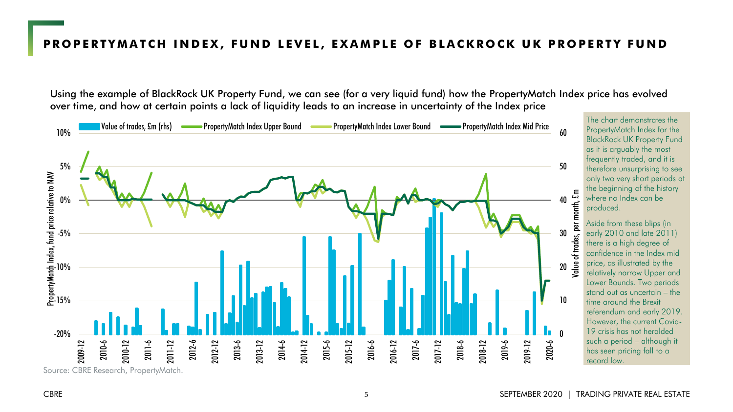#### PROPERTYMATCH INDEX, FUND LEVEL, EXAMPLE OF BLACKROCK UK PROPERTY FUND

Using the example of BlackRock UK Property Fund, we can see (for a very liquid fund) how the PropertyMatch Index price has evolved over time, and how at certain points a lack of liquidity leads to an increase in uncertainty of the Index price

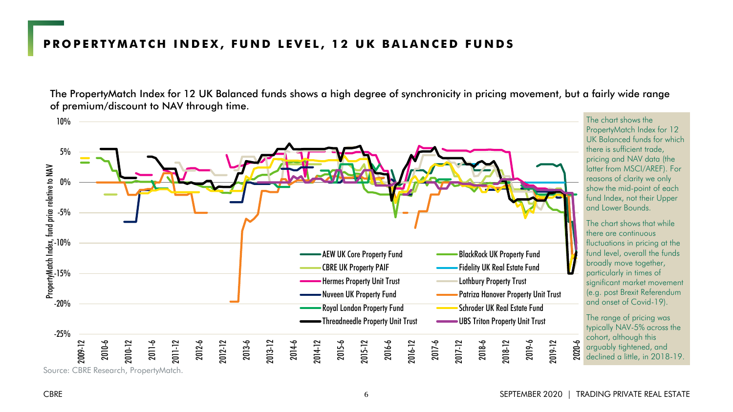#### **PROPERTYMATCH INDEX, FUND LEVEL, 12 UK BALANCED FUNDS**

The PropertyMatch Index for 12 UK Balanced funds shows a high degree of synchronicity in pricing movement, but a fairly wide range of premium/discount to NAV through time.

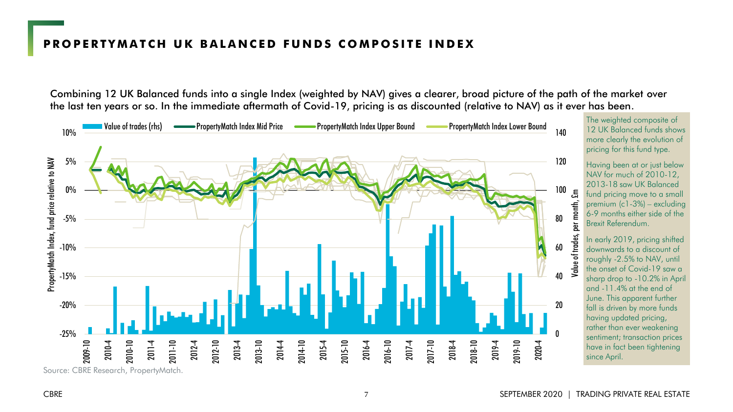#### **P R O P E R T Y M A T C H U K B A L A N C E D F U N D S C O M P O S I T E I N D E X**

Combining 12 UK Balanced funds into a single Index (weighted by NAV) gives a clearer, broad picture of the path of the market over the last ten years or so. In the immediate aftermath of Covid-19, pricing is as discounted (relative to NAV) as it ever has been.

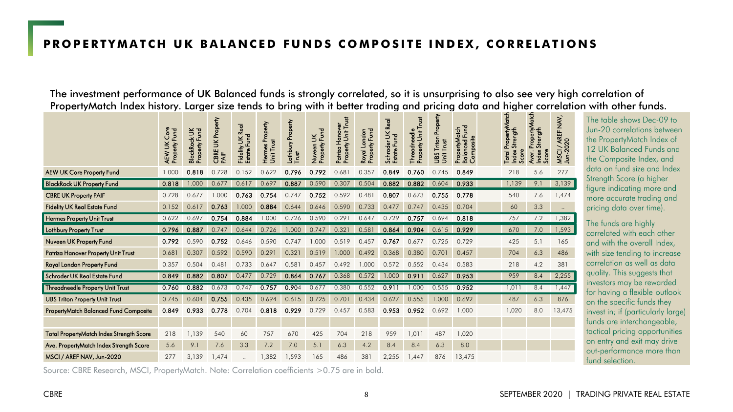#### **PROPERTYMATCH UK BALANCED FUNDS COMPOSITE INDEX, CORRELATIONS**

The investment performance of UK Balanced funds is strongly correlated, so it is unsurprising to also see very high correlation of PropertyMatch Index history. Larger size tends to bring with it better trading and pricing data and higher correlation with other funds.

|                                          | <b>Core</b><br>Property Fund<br>AEW UK | š<br>Property Fund<br><b>BlackRock</b> | Property<br>š<br>CBRE<br>PAIF | Real<br>Fidelity UK R<br>Estate Fund | Hermes Property<br>Unit Trust | Lothbury Property<br>E | Fund<br>š<br>Property<br>Nuveen <sup>1</sup> | Property Unit Trust<br>Hanover<br>Patriza | Property Fund<br>London<br>Royal | <b>Real</b><br>Schroder UK<br>Estate Fund | Property Unit Trust<br>Threadneedle | Property<br>Tritor<br>Unit Trust<br><b>San</b> | š<br>PropertyMatch<br><b>Balanced Fr</b><br>Composite | Total PropertyMatch<br>Strength<br>Score<br>Index | PropertyMatch<br>Strength<br>Score<br>Aver.<br>Index | <b>MSCI / AREF NAV,<br/>Jun-2020</b> |
|------------------------------------------|----------------------------------------|----------------------------------------|-------------------------------|--------------------------------------|-------------------------------|------------------------|----------------------------------------------|-------------------------------------------|----------------------------------|-------------------------------------------|-------------------------------------|------------------------------------------------|-------------------------------------------------------|---------------------------------------------------|------------------------------------------------------|--------------------------------------|
| <b>AEW UK Core Property Fund</b>         | 1.000                                  | 0.818                                  | 0.728                         | 0.152                                | 0.622                         | 0.796                  | 0.792                                        | 0.681                                     | 0.357                            | 0.849                                     | 0.760                               | 0.745                                          | 0.849                                                 | 218                                               | 5.6                                                  | 277                                  |
| <b>BlackRock UK Property Fund</b>        | 0.818                                  | 1.000                                  | 0.677                         | 0.617                                | 0.697                         | 0.887                  | 0.590                                        | 0.307                                     | 0.504                            | 0.882                                     | 0.882                               | 0.604                                          | 0.933                                                 | 1,139                                             | 9.1                                                  | 3,139                                |
| <b>CBRE UK Property PAIF</b>             | 0.728                                  | 0.677                                  | 1.000                         | 0.763                                | 0.754                         | 0.747                  | 0.752                                        | 0.592                                     | 0.481                            | 0.807                                     | 0.673                               | 0.755                                          | 0.778                                                 | 540                                               | 7.6                                                  | 1,474                                |
| <b>Fidelity UK Real Estate Fund</b>      | 0.152                                  | 0.617                                  | 0.763                         | 1.000                                | 0.884                         | 0.644                  | 0.646                                        | 0.590                                     | 0.733                            | 0.477                                     | 0.747                               | 0.435                                          | 0.704                                                 | 60                                                | 3.3                                                  | $\ddotsc$                            |
| <b>Hermes Property Unit Trust</b>        | 0.622                                  | 0.697                                  | 0.754                         | 0.884                                | 1.000                         | 0.726                  | 0.590                                        | 0.291                                     | 0.647                            | 0.729                                     | 0.757                               | 0.694                                          | 0.818                                                 | 757                                               | 7.2                                                  | .382                                 |
| <b>Lothbury Property Trust</b>           | 0.796                                  | 0.887                                  | 0.747                         | 0.644                                | 0.726                         | 1.000                  | 0.747                                        | 0.321                                     | 0.581                            | 0.864                                     | 0.904                               | 0.615                                          | 0.929                                                 | 670                                               | 7.0                                                  | ,593                                 |
| Nuveen UK Property Fund                  | 0.792                                  | 0.590                                  | 0.752                         | 0.646                                | 0.590                         | 0.747                  | 1.000                                        | 0.519                                     | 0.457                            | 0.767                                     | 0.677                               | 0.725                                          | 0.729                                                 | 425                                               | 5.1                                                  | 165                                  |
| Patriza Hanover Property Unit Trust      | 0.681                                  | 0.307                                  | 0.592                         | 0.590                                | 0.291                         | 0.32                   | 0.519                                        | 1.000                                     | 0.492                            | 0.368                                     | 0.380                               | 0.701                                          | 0.457                                                 | 704                                               | 6.3                                                  | 486                                  |
| Royal London Property Fund               | 0.357                                  | 0.504                                  | 0.48                          | 0.733                                | 0.647                         | 0.581                  | 0.457                                        | 0.492                                     | 1.000                            | 0.572                                     | 0.552                               | 0.434                                          | 0.583                                                 | 218                                               | 4.2                                                  | 381                                  |
| Schroder UK Real Estate Fund             | 0.849                                  | 0.882                                  | 0.807                         | 0.477                                | 0.729                         | 0.864                  | 0.767                                        | 0.368                                     | 0.572                            | .000                                      | 0.911                               | 0.627                                          | 0.953                                                 | 959                                               | 8.4                                                  | 2.255                                |
| Threadneedle Property Unit Trust         | 0.760                                  | 0.882                                  | 0.673                         | 0.747                                | 0.757                         | 0.904                  | 0.677                                        | 0.380                                     | 0.552                            | 0.911                                     | 1.000                               | 0.555                                          | 0.952                                                 | 1,011                                             | 8.4                                                  | 1,447                                |
| <b>UBS Triton Property Unit Trust</b>    | 0.745                                  | 0.604                                  | 0.755                         | 0.435                                | 0.694                         | 0.615                  | 0.725                                        | 0.701                                     | 0.434                            | 0.627                                     | 0.555                               | 1.000                                          | 0.692                                                 | 487                                               | 6.3                                                  | 876                                  |
| PropertyMatch Balanced Fund Composite    | 0.849                                  | 0.933                                  | 0.778                         | 0.704                                | 0.818                         | 0.929                  | 0.729                                        | 0.457                                     | 0.583                            | 0.953                                     | 0.952                               | 0.692                                          | 1.000                                                 | 1,020                                             | 8.0                                                  | 13,475                               |
|                                          |                                        |                                        |                               |                                      |                               |                        |                                              |                                           |                                  |                                           |                                     |                                                |                                                       |                                                   |                                                      |                                      |
| Total PropertyMatch Index Strength Score | 218                                    | 1,139                                  | 540                           | 60                                   | 757                           | 670                    | 425                                          | 704                                       | 218                              | 959                                       | 1,011                               | 487                                            | 1,020                                                 |                                                   |                                                      |                                      |
| Ave. PropertyMatch Index Strength Score  | 5.6                                    | 9.1                                    | 7.6                           | 3.3                                  | 7.2                           | 7.0                    | 5.1                                          | 6.3                                       | 4.2                              | 8.4                                       | 8.4                                 | 6.3                                            | 8.0                                                   |                                                   |                                                      |                                      |
| MSCI / AREF NAV, Jun-2020                | 277                                    | 3,139                                  | 1,474                         |                                      | 1,382                         | 1,593                  | 165                                          | 486                                       | 381                              | 2,255                                     | 1,447                               | 876                                            | 13,475                                                |                                                   |                                                      |                                      |

Source: CBRE Research, MSCI, PropertyMatch. Note: Correlation coefficients >0.75 are in bold.

The table shows Dec-09 to Jun-20 correlations between the PropertyMatch Index of 12 UK Balanced Funds and the Composite Index, and data on fund size and Index Strength Score (a higher figure indicating more and more accurate trading and pricing data over time).

The funds are highly correlated with each other and with the overall Index, with size tending to increase correlation as well as data quality. This suggests that investors may be rewarded for having a flexible outlook on the specific funds they invest in; if (particularly large) funds are interchangeable, tactical pricing opportunities on entry and exit may drive out-performance more than fund selection.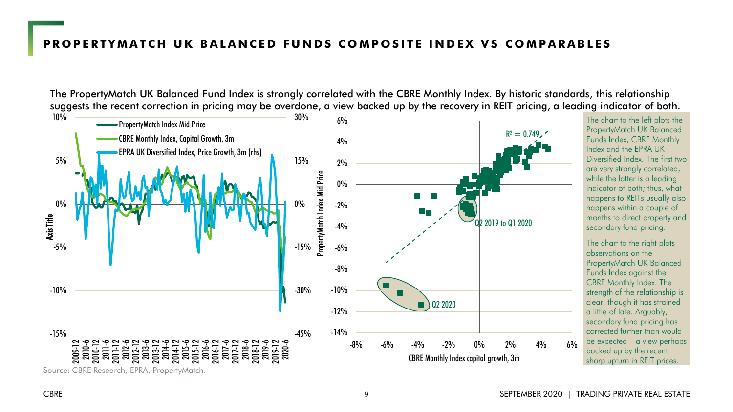#### **PROPERTYMATCH UK BALANCED FUNDS COMPOSITE INDEX VS COMPARABLES**

The PropertyMatch UK Balanced Fund Index is strongly correlated with the CBRE Monthly Index. By historic standards, this relationship suggests the recent correction in pricing may be overdone, a view backed up by the recovery in REIT pricing, a leading indicator of both.



The chart to the left plots the PropertyMatch UK Balanced Funds Index, CBRE Monthly Index and the EPRA UK Diversified Index. The first two are very strongly correlated, while the latter is a leading indicator of both; thus, what happens to REITs usually also happens within a couple of months to direct property and secondary fund pricing.

The chart to the right plots observations on the PropertyMatch UK Balanced Funds Index against the CBRE Monthly Index. The strength of the relationship is clear, though it has strained a little of late. Arguably, secondary fund pricing has corrected further than would be expected – a view perhaps backed up by the recent sharp upturn in REIT prices.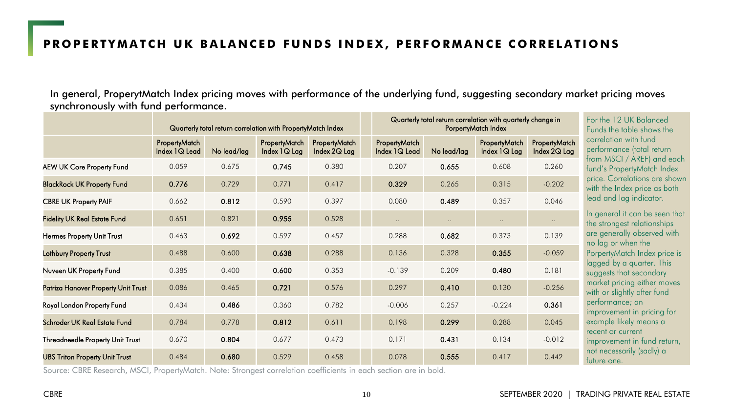In general, ProperytMatch Index pricing moves with performance of the underlying fund, suggesting secondary market pricing moves synchronously with fund performance.

|                                       |                                |             | Quarterly total return correlation with PropertyMatch Index |                               |                                | Quarterly total return correlation with quarterly change in<br>PorpertyMatch Index | For the 12 UK Balanced<br>Funds the table shows the |                               |                                                               |  |
|---------------------------------------|--------------------------------|-------------|-------------------------------------------------------------|-------------------------------|--------------------------------|------------------------------------------------------------------------------------|-----------------------------------------------------|-------------------------------|---------------------------------------------------------------|--|
|                                       | PropertyMatch<br>Index 1Q Lead | No lead/lag | PropertyMatch<br>Index $1Q$ Lag                             | PropertyMatch<br>Index 2Q Lag | PropertyMatch<br>Index 1Q Lead | No lead/lag                                                                        | PropertyMatch<br>Index $1Q$ Lag                     | PropertyMatch<br>Index 2Q Lag | correlation with fund<br>performance (total return            |  |
| AEW UK Core Property Fund             | 0.059                          | 0.675       | 0.745                                                       | 0.380                         | 0.207                          | 0.655                                                                              | 0.608                                               | 0.260                         | from MSCI / AREF) and each<br>fund's PropertyMatch Index      |  |
| <b>BlackRock UK Property Fund</b>     | 0.776                          | 0.729       | 0.771                                                       | 0.417                         | 0.329                          | 0.265                                                                              | 0.315                                               | $-0.202$                      | price. Correlations are shown<br>with the Index price as both |  |
| <b>CBRE UK Property PAIF</b>          | 0.662                          | 0.812       | 0.590                                                       | 0.397                         | 0.080                          | 0.489                                                                              | 0.357                                               | 0.046                         | lead and lag indicator.                                       |  |
| <b>Fidelity UK Real Estate Fund</b>   | 0.651                          | 0.821       | 0.955                                                       | 0.528                         | $\ddots$                       | $\ddotsc$                                                                          | $\ldots$                                            | $\cdot$ .                     | In general it can be seen that<br>the strongest relationships |  |
| <b>Hermes Property Unit Trust</b>     | 0.463                          | 0.692       | 0.597                                                       | 0.457                         | 0.288                          | 0.682                                                                              | 0.373                                               | 0.139                         | are generally observed with<br>no lag or when the             |  |
| Lothbury Property Trust               | 0.488                          | 0.600       | 0.638                                                       | 0.288                         | 0.136                          | 0.328                                                                              | 0.355                                               | $-0.059$                      | PorpertyMatch Index price is                                  |  |
| Nuveen UK Property Fund               | 0.385                          | 0.400       | 0.600                                                       | 0.353                         | $-0.139$                       | 0.209                                                                              | 0.480                                               | 0.181                         | lagged by a quarter. This<br>suggests that secondary          |  |
| Patriza Hanover Property Unit Trust   | 0.086                          | 0.465       | 0.721                                                       | 0.576                         | 0.297                          | 0.410                                                                              | 0.130                                               | $-0.256$                      | market pricing either moves<br>with or slightly after fund    |  |
| Royal London Property Fund            | 0.434                          | 0.486       | 0.360                                                       | 0.782                         | $-0.006$                       | 0.257                                                                              | $-0.224$                                            | 0.361                         | performance; an<br>improvement in pricing for                 |  |
| Schroder UK Real Estate Fund          | 0.784                          | 0.778       | 0.812                                                       | 0.611                         | 0.198                          | 0.299                                                                              | 0.288                                               | 0.045                         | example likely means a                                        |  |
| Threadneedle Property Unit Trust      | 0.670                          | 0.804       | 0.677                                                       | 0.473                         | 0.171                          | 0.431                                                                              | 0.134                                               | $-0.012$                      | recent or current<br>improvement in fund return,              |  |
| <b>UBS Triton Property Unit Trust</b> | 0.484                          | 0.680       | 0.529                                                       | 0.458                         | 0.078                          | 0.555                                                                              | 0.417                                               | 0.442                         | not necessarily (sadly) a<br>tuture one.                      |  |

Source: CBRE Research, MSCI, PropertyMatch. Note: Strongest correlation coefficients in each section are in bold.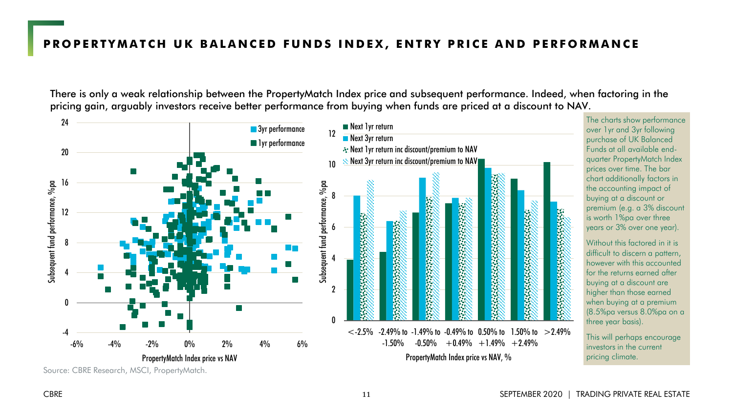There is only a weak relationship between the PropertyMatch Index price and subsequent performance. Indeed, when factoring in the pricing gain, arguably investors receive better performance from buying when funds are priced at a discount to NAV.

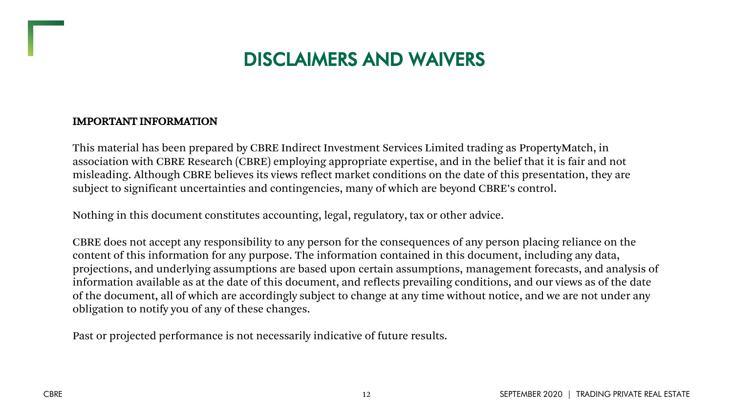## DISCLAIMERS AND WAIVERS

#### IMPORTANT INFORMATION

This material has been prepared by CBRE Indirect Investment Services Limited trading as PropertyMatch, in association with CBRE Research (CBRE) employing appropriate expertise, and in the belief that it is fair and not misleading. Although CBRE believes its views reflect market conditions on the date of this presentation, they are subject to significant uncertainties and contingencies, many of which are beyond CBRE's control.

Nothing in this document constitutes accounting, legal, regulatory, tax or other advice.

CBRE does not accept any responsibility to any person for the consequences of any person placing reliance on the content of this information for any purpose. The information contained in this document, including any data, projections, and underlying assumptions are based upon certain assumptions, management forecasts, and analysis of information available as at the date of this document, and reflects prevailing conditions, and our views as of the date of the document, all of which are accordingly subject to change at any time without notice, and we are not under any obligation to notify you of any of these changes.

Past or projected performance is not necessarily indicative of future results.